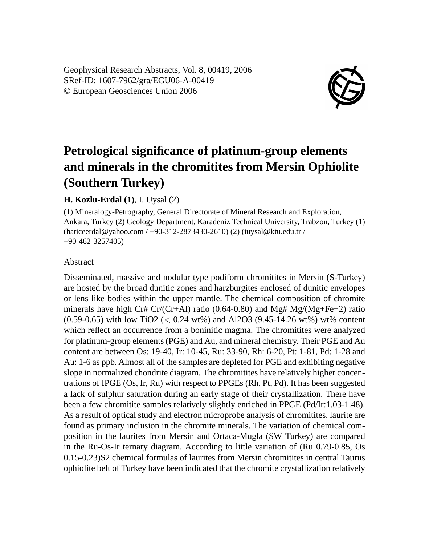Geophysical Research Abstracts, Vol. 8, 00419, 2006 SRef-ID: 1607-7962/gra/EGU06-A-00419 © European Geosciences Union 2006



## **Petrological significance of platinum-group elements and minerals in the chromitites from Mersin Ophiolite (Southern Turkey)**

## **H. Kozlu-Erdal (1)**, I. Uysal (2)

(1) Mineralogy-Petrography, General Directorate of Mineral Research and Exploration, Ankara, Turkey (2) Geology Department, Karadeniz Technical University, Trabzon, Turkey (1) (haticeerdal@yahoo.com / +90-312-2873430-2610) (2) (iuysal@ktu.edu.tr / +90-462-3257405)

## Abstract

Disseminated, massive and nodular type podiform chromitites in Mersin (S-Turkey) are hosted by the broad dunitic zones and harzburgites enclosed of dunitic envelopes or lens like bodies within the upper mantle. The chemical composition of chromite minerals have high Cr# Cr/(Cr+Al) ratio (0.64-0.80) and Mg#  $Mg/(Mg + Fe + 2)$  ratio  $(0.59-0.65)$  with low TiO2 (< 0.24 wt%) and Al2O3 (9.45-14.26 wt%) wt% content which reflect an occurrence from a boninitic magma. The chromitites were analyzed for platinum-group elements (PGE) and Au, and mineral chemistry. Their PGE and Au content are between Os: 19-40, Ir: 10-45, Ru: 33-90, Rh: 6-20, Pt: 1-81, Pd: 1-28 and Au: 1-6 as ppb. Almost all of the samples are depleted for PGE and exhibiting negative slope in normalized chondrite diagram. The chromitites have relatively higher concentrations of IPGE (Os, Ir, Ru) with respect to PPGEs (Rh, Pt, Pd). It has been suggested a lack of sulphur saturation during an early stage of their crystallization. There have been a few chromitite samples relatively slightly enriched in PPGE (Pd/Ir:1.03-1.48). As a result of optical study and electron microprobe analysis of chromitites, laurite are found as primary inclusion in the chromite minerals. The variation of chemical composition in the laurites from Mersin and Ortaca-Mugla (SW Turkey) are compared in the Ru-Os-Ir ternary diagram. According to little variation of (Ru 0.79-0.85, Os 0.15-0.23)S2 chemical formulas of laurites from Mersin chromitites in central Taurus ophiolite belt of Turkey have been indicated that the chromite crystallization relatively